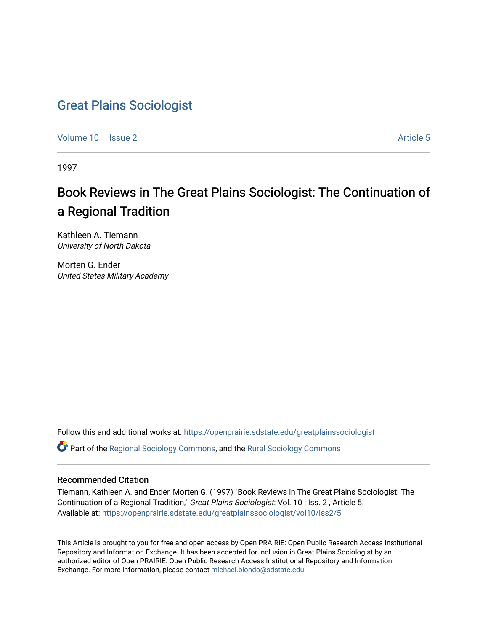# [Great Plains Sociologist](https://openprairie.sdstate.edu/greatplainssociologist)

[Volume 10](https://openprairie.sdstate.edu/greatplainssociologist/vol10) | [Issue 2](https://openprairie.sdstate.edu/greatplainssociologist/vol10/iss2) Article 5

1997

# Book Reviews in The Great Plains Sociologist: The Continuation of a Regional Tradition

Kathleen A. Tiemann University of North Dakota

Morten G. Ender United States Military Academy

Follow this and additional works at: [https://openprairie.sdstate.edu/greatplainssociologist](https://openprairie.sdstate.edu/greatplainssociologist?utm_source=openprairie.sdstate.edu%2Fgreatplainssociologist%2Fvol10%2Fiss2%2F5&utm_medium=PDF&utm_campaign=PDFCoverPages) 

Part of the [Regional Sociology Commons](http://network.bepress.com/hgg/discipline/427?utm_source=openprairie.sdstate.edu%2Fgreatplainssociologist%2Fvol10%2Fiss2%2F5&utm_medium=PDF&utm_campaign=PDFCoverPages), and the [Rural Sociology Commons](http://network.bepress.com/hgg/discipline/428?utm_source=openprairie.sdstate.edu%2Fgreatplainssociologist%2Fvol10%2Fiss2%2F5&utm_medium=PDF&utm_campaign=PDFCoverPages) 

#### Recommended Citation

Tiemann, Kathleen A. and Ender, Morten G. (1997) "Book Reviews in The Great Plains Sociologist: The Continuation of a Regional Tradition," Great Plains Sociologist: Vol. 10 : Iss. 2 , Article 5. Available at: [https://openprairie.sdstate.edu/greatplainssociologist/vol10/iss2/5](https://openprairie.sdstate.edu/greatplainssociologist/vol10/iss2/5?utm_source=openprairie.sdstate.edu%2Fgreatplainssociologist%2Fvol10%2Fiss2%2F5&utm_medium=PDF&utm_campaign=PDFCoverPages)

This Article is brought to you for free and open access by Open PRAIRIE: Open Public Research Access Institutional Repository and Information Exchange. It has been accepted for inclusion in Great Plains Sociologist by an authorized editor of Open PRAIRIE: Open Public Research Access Institutional Repository and Information Exchange. For more information, please contact [michael.biondo@sdstate.edu.](mailto:michael.biondo@sdstate.edu)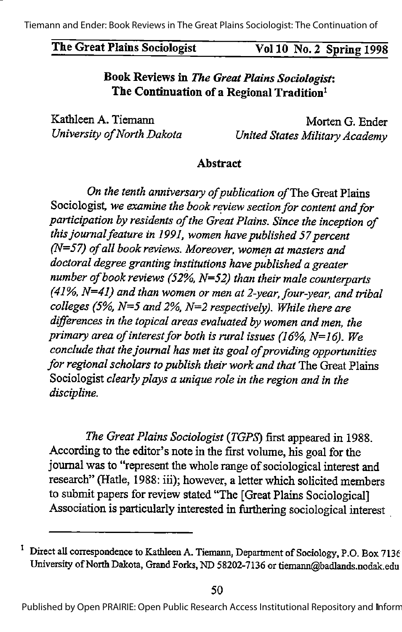# The Great Plains Sociologist Vol 10 No. 2 Spring 1998

# Book Reviews in The Great Plains Sociologist: The Continuation of a Regional Tradition<sup>1</sup>

Kathleen A. Tiemann Morten G. Ender

University of North Dakota **United States Military Academy** 

#### Abstract

On the tenth anniversary of publication of The Great Plains Sociologist, we examine the book review section for content and for participation by residents of the Great Plains. Since the inception of this journal feature in 1991, women have published 57 percent  $(N=57)$  of all book reviews. Moreover, women at masters and doctoral degree granting institutions have published a greater number of book reviews (52%,  $N=52$ ) than their male counterparts  $(41\%$ , N=41) and than women or men at 2-year, four-year, and tribal colleges (5%,  $N=5$  and 2%,  $N=2$  respectively). While there are differences in the topical areas evaluated by women and men, the primary area of interest for both is rural issues (16%,  $N=16$ ). We conclude that the journal has met its goal of providing opportunities for regional scholars to publish their work and that The Great Plains Sociologist clearly plays a unique role in the region and in the discipline.

The Great Plains Sociologist (TGPS) first appeared in 1988. According to the editor's note in the first volume, his goal for the journal was to "represent the whole range of sociological interest and research" (Hatle, 1988: iii); however, a letter which solicited members to submit papers for review stated "The [Great Plains Sociological] Association is particularly interested in furthering sociological interest

Direct all correspondence to Kathleen A. Tiemann, Department of Sociology, P.O. Box 7136 University of North Dakota, Grand Forks, ND 58202-7136 or tiemann@badlands.nodak.edu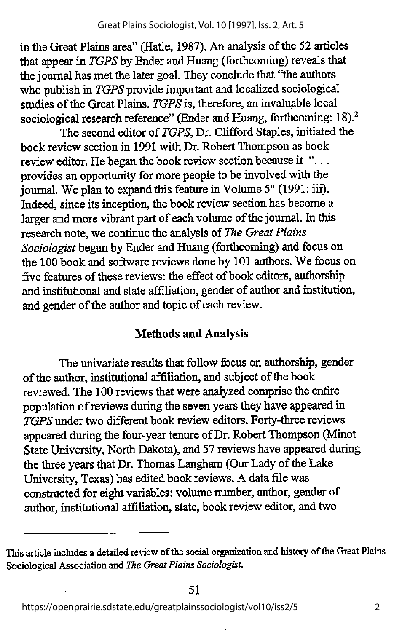in the Great Plains area" (Hatle, 1987). An analysis of the 52 articles that appear in  $TGPS$  by Ender and Huang (forthcoming) reveals that the journal has met the later goal. They conclude that '\*the authors who publish in TGPS provide important and localized sociological studies of the Great Plains. TGPS is, therefore, an invaluable local sociological research reference" (Ender and Huang, forthcoming: 18).<sup>2</sup>

The second editor of TGPS, Dr. Clifford Staples, initiated the book review section in 1991 with Dr. Robert Thompson as book review editor. He began the book review section because it " $\dots$ provides an opportunity for more people to be involved with the journal. We plan to expand this feature in Volume 5" (1991: iii). Indeed, since its inception, the book review section has become a larger and more vibrant part of each volume of the journal. In this research note, we continue the analysis of The Great Plains Sociologist begun by Ender and Huang (forthcoming) and focus on the 100 book and software reviews done by 101 authors. We focus on five features of these reviews: the effect of book editors, authorship and institutional and state affiliation, gender of author and institution, and gender of the author and topic of each review.

# Methods and Analysis

The univariate results that follow focus on authorship, gender of the author, institutional affiliation, and subject of the book reviewed. The 100 reviews that were analyzed comprise the entire population of reviews during the seven years they have appeared in TGPS under two different book review editors. Forty-three reviews appeared during the four-year tenure of Dr. Robert Thompson (Minot State University, North Dakota), and 57 reviews have appeared during the three years that Dr. Thomas Langham (Our Lady of the Lake University, Texas) has edited book reviews. A data file was constructed for eight variables: volume number, author, gender of author, institutional affiliation, state, book review editor, and two

This article includes a detailed review of the social organization and history of the Great Plains Sociological Association and The Great Plains Sociologist.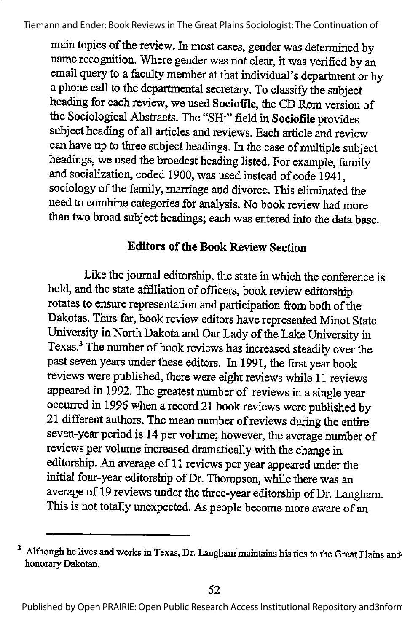main topics of the review. In most cases, gender was determined by name recognition. Where gender was not clear, it was verified by an email query to a faculty member at that individual's department or by aphone call to the departmental secretary. To classify the subject heading for each review, we used Sociofile, the CD Rom version of the Sociological Abstracts. The "SH:" field in Sociofile provides subject heading of all articles and reviews. Each article and review can have up to three subject headings. In the case of multiple subject headings, we used the broadest heading listed. For example, family and socialization, coded 1900, was used instead of code 1941, sociology of the family, marriage and divorce. This eliminated the need to combine categories for analysis. No book reviewhad more than two broad subject headings; each was entered into the data base.

### **Editors of the Book Review Section**

Like the journal editorship, the state in which the conference is held, and the state affiliation of officers, book review editorship rotates to ensure representation and participation from both of the Dakotas. Thus far, book review editors have represented Minot State University in North Dakota and Our Lady of the Lake University in Texas.<sup>3</sup> The number of book reviews has increased steadily over the past seven years under these editors. In 1991, the first year book reviews were published, there were eight reviews while 11 reviews appeared in 1992. The greatest number of reviews in a single year occurred in 1996 when a record 21 book reviews were published by 21 different authors. The mean number of reviews during the entire seven-year period is 14 per volume; however, the average number of reviews pervolume increased dramatically with the change in editorship. An average of 11 reviews per year appeared under the initial four-year editorship of Dr. Thompson, while there was an average of 19 reviews under the three-year editorship of Dr. Langham. This is not totally unexpected. As people become more aware of an

<sup>&</sup>lt;sup>3</sup> Although he lives and works in Texas, Dr. Langham maintains his ties to the Great Plains and honorary Dakotan.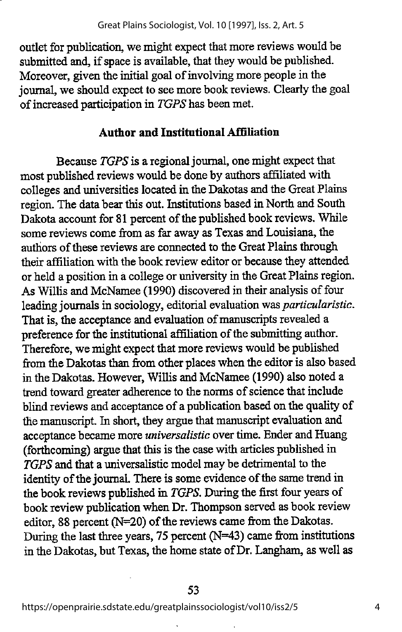outlet for publication, we might expect that more reviews would be submitted and, if space is available, that they would be published. Moreover, given the initial goal of involving more people in the journal, we should expect to see more book reviews. Clearly the goal of increased participation in TGPS has been met.

#### Author and Institutional Affiliation

Because TGPS is a regional journal, one might expect that most published reviews would be done by authors affiliated with colleges and universities located in the Dakotas and the Great Plains region. The data bear this out. Institutions based in North and South Dakota account for 81 percent of the published book reviews. While some reviews come from as far away as Texas and Louisiana, the authors of these reviews are connected to the Great Plains through their affiliation with the book review editor or because they attended or held a position in a college or university in the Great Plains region. As Willis and McNamee (1990) discovered in their analysis of four leading journals in sociology, editorial evaluation was particularistic. That is, the acceptance and evaluation of manuscripts revealed a preference for the institutional affiliation of the submitting author. Therefore, we might expect that more reviews would be published from the Dakotas than from other places when the editor is also based in the Dakotas. However, Willis and McNamee (1990) also noted a trend toward greater adherence to the norms of science that include blind reviews and acceptance of a publication based on the qualityof the manuscript. In short, they argue that manuscript evaluation and acceptance became more universalistic over time. Ender and Huang (forthcoming) argue that this is the case with articles published in TGPS and that a universalistic model may be detrimental to the identity of the journal. There is some evidence of the same trend in the book reviews published in TGPS. During the first four years of book review publication when Dr. Thompson served as book review editor, 88 percent (N=20) of the reviews came from the Dakotas. During the last three years, 75 percent (N=43) came from institutions in the Dakotas, but Texas, the home state ofDr. Langham, as well as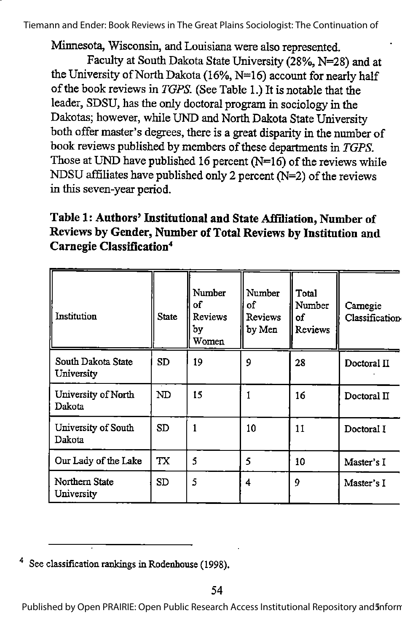Minnesota, Wisconsin, and Louisiana were also represented.

Faculty at South Dakota State University (28%, N=28) and at the University of North Dakota (16%,  $N=16$ ) account for nearly half of the book reviews in TGPS. (See Table 1.) It is notable that the leader, SDSU, has the only doctoral program in sociology in the Dakotas; however, while UND and North Dakota State University both offermaster's degrees, there is a great disparity in the numberof book reviews published by members of these departments in TGPS. Those at UND have published 16 percent  $(N=16)$  of the reviews while NDSU affiliates have published only 2 percent ( $N=2$ ) of the reviews in this seven-year period.

# Table 1: Authors' Institutional and State Affiliation, Number of Reviews by Gender, Number of Total Reviews by Institution and Carnegie Classification'\*

| Institution                      | <b>State</b> | Number<br>of<br><b>Reviews</b><br>by<br>Women | Number<br>of<br><b>Reviews</b><br>by Men | Total<br>Number<br>οf<br>Reviews | Carnegie<br>Classification |
|----------------------------------|--------------|-----------------------------------------------|------------------------------------------|----------------------------------|----------------------------|
| South Dakota State<br>University | SD           | 19                                            | 9                                        | 28                               | Doctoral II                |
| University of North<br>Dakota    | ND           | 15                                            |                                          | 16                               | Doctoral II                |
| University of South<br>Dakota    | SD           |                                               | 10                                       | 11                               | Doctoral I                 |
| Our Lady of the Lake             | <b>TX</b>    | 5                                             | 5                                        | 10                               | Master's I                 |
| Northern State<br>University     | SD           | 5                                             | 4                                        | 9                                | Master's I                 |

See classification rankings in Rodenhouse (1998).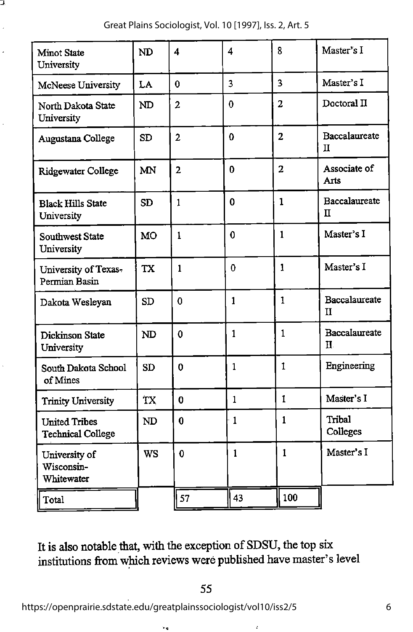Great Plains Sociologist, Vol. 10 [1997], Iss. 2, Art. 5

J,

| <b>Minot State</b><br>University                 | ND        | 4              | 4              | 8                       | Master's I                    |
|--------------------------------------------------|-----------|----------------|----------------|-------------------------|-------------------------------|
| McNeese University                               | LA        | $\bf{0}$       | $\overline{3}$ | $\overline{\mathbf{3}}$ | Master's I                    |
| North Dakota State<br>University                 | ND        | $\overline{2}$ | $\bf{0}$       | 2                       | Doctoral II                   |
| Augustana College                                | <b>SD</b> | $\overline{2}$ | $\bf{0}$       | $\overline{2}$          | Baccalaureate<br>π            |
| Ridgewater College                               | MN        | $\overline{2}$ | $\bf{0}$       | $\overline{2}$          | Associate of<br>Arts          |
| <b>Black Hills State</b><br>University           | <b>SD</b> | 1              | $\mathbf 0$    | 1                       | Baccalaureate<br>π            |
| Southwest State<br>University                    | <b>MO</b> | $\mathbf{1}$   | $\mathbf 0$    | $\mathbf{1}$            | Master's I                    |
| University of Texas-<br>Permian Basin            | <b>TX</b> | $\mathbf{1}$   | $\Omega$       | 1                       | Master's I                    |
| Dakota Wesleyan                                  | <b>SD</b> | $\bf{0}$       | $\mathbf{1}$   | 1                       | Baccalaureate<br>$\mathbf{H}$ |
| Dickinson State<br>University                    | ND        | $\mathbf 0$    | $\mathbf{1}$   | $\mathbf{1}$            | Baccalaureate<br>Н.           |
| South Dakota School<br>of Mines                  | <b>SD</b> | 0              | $\mathbf{1}$   | 1                       | Engineering                   |
| <b>Trinity University</b>                        | TX        | 0              | $\mathbf{1}$   | 1                       | Master's I                    |
| <b>United Tribes</b><br><b>Technical College</b> | <b>ND</b> | 0              | $\mathbf{1}$   | $\mathbf{1}$            | Tribal<br>Colleges            |
| University of<br>Wisconsin-<br>Whitewater        | <b>WS</b> | $\mathbf 0$    | $\mathbf{1}$   | $\mathbf{1}$            | Master's I                    |
| Total                                            |           | 57             | 43             | 100                     |                               |

It is also notable that, with the exception of SDSU, the top six institutions from which reviews were published have master's level

 $\ddot{\cdot}$ 

https://openprairie.sdstate.edu/greatplainssociologist/vol10/iss2/5

 $\ddot{\phantom{a}}$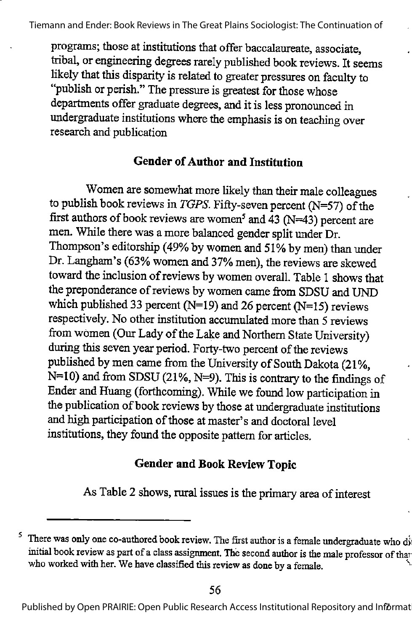programs; those at institutions that offer baccalaureate, associate, tribal, or engineering degrees rarely published book reviews. It seems likely that this disparity is related to greater pressures on faculty to "publish or perish." The pressure is greatest for those whose departments offer graduate degrees, and it is less pronounced in undergraduate institutions where the emphasis is on teaching over research and publication

#### Gender of Author and Institution

Women are somewhat more likely than their male colleagues to publish book reviews in TGPS. Fifty-seven percent  $(N=57)$  of the first authors of book reviews are women<sup>5</sup> and 43 (N=43) percent are men. While there was a more balanced gender split under Dr. Thompson's editorship (49% by women and 51% by men) than under Dr. Langham's (63% women and 37% men), the reviews are skewed toward the inclusion of reviews by women overall. Table 1 shows that the preponderance of reviews by women came from SDSU and UND which published 33 percent (N=19) and 26 percent (N=15) reviews respectively. No other institution accumulated more than 5 reviews from women (Our Lady of the Lake and Northern State University) during this seven year period. Forty-two percent of the reviews published by men came from the University of South Dakota (21%,  $N=10$ ) and from SDSU (21%,  $N=9$ ). This is contrary to the findings of Ender and Huang (forthcoming). While we found low participation in the publication of book reviews by those at undergraduate institutions and high participation of those at master's and doctoral level institutions, they found the opposite pattern for articles.

### Gender and Book Review Topic

As Table 2 shows, rural issues is the primary area of interest

Published by Open PRAIRIE: Open Public Research Access Institutional Repository and Informat

<sup>&</sup>lt;sup>5</sup> There was only one co-authored book review. The first author is a female undergraduate who diinitial book review as part of a class assignment. The second author is the male professor of than who worked with her. We have classified this review as done by a female.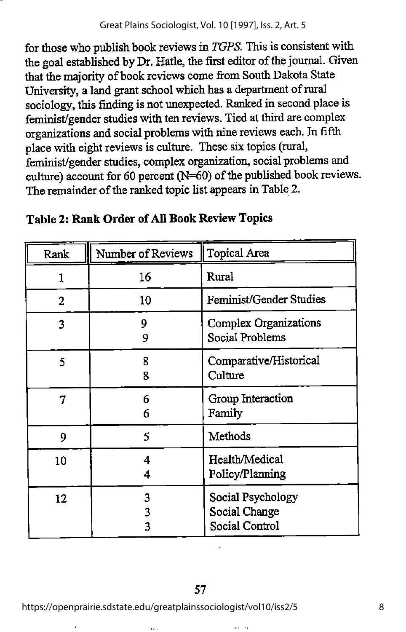#### Great Plains Sociologist, Vol. 10 [1997], Iss. 2, Art. 5

for those who publish book reviews in TGPS. This is consistent with the goal established by Dr. Hatle, the first editor of the journal. Given that the majority of book reviews come from South Dakota State University, a land grant school which has a department of rural sociology, this finding is not unexpected. Ranked in second place is feminist/gender studies with ten reviews. Tied at third are complex organizations and social problems with nine reviews each. In fifth place with eight reviews is culture. These six topics (rural, feminist/gender studies, complex organization, social problems and culture) account for 60 percent ( $N=60$ ) of the published book reviews. The remainder of the ranked topic list appears in Table 2.

| Rank           | Number of Reviews | <b>Topical Area</b>                                  |
|----------------|-------------------|------------------------------------------------------|
| 1              | 16                | Rural                                                |
| $\overline{2}$ | 10                | Feminist/Gender Studies                              |
| 3              | 9<br>9            | <b>Complex Organizations</b><br>Social Problems      |
| 5              | 8<br>8            | Comparative/Historical<br>Culture                    |
| 7              | 6<br>6            | Group Interaction<br>Family                          |
| 9              | 5                 | Methods                                              |
| 10             | 4<br>4            | Health/Medical<br>Policy/Planning                    |
| 12             | 3<br>3<br>٦       | Social Psychology<br>Social Change<br>Social Control |

### Table 2: Rank Order of All Book Review Topics

https://openprairie.sdstate.edu/greatplainssociologist/vol10/iss2/5

u.

 $\ddot{\phantom{0}}$ 

8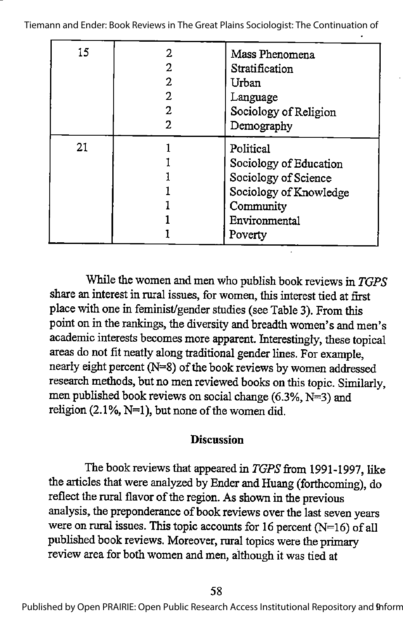| 15 | 2 | Mass Phenomena<br>Stratification<br>Urban<br>Language<br>Sociology of Religion<br>Demography                                   |
|----|---|--------------------------------------------------------------------------------------------------------------------------------|
| 21 |   | Political<br>Sociology of Education<br>Sociology of Science<br>Sociology of Knowledge<br>Community<br>Environmental<br>Poverty |

While the women and men who publish book reviews in TGPS share an interest in rural issues, for women, this interest tied at first place with one in feminist/gender studies (see Table 3). From this point on in the rankings, the diversity and breadth women's and men's academic interests becomes more apparent. Interestingly, these topical areas do not fit neatly along traditional gender lines. For example, nearly eight percent (N=8) of the book reviews by women addressed research methods, but no men reviewed books on this topic. Similarly, men published book reviews on social change (6.3%,  $N=3$ ) and religion  $(2.1\%, N=1)$ , but none of the women did.

#### **Discussion**

The book reviews that appeared in TGPS from 1991-1997, like the articles that were analyzed by Ender and Huang (forthcoming), do reflect the rural flavor of the region. As shown in the previous analysis, the preponderance of book reviews over the last seven years were on rural issues. This topic accounts for 16 percent ( $N=16$ ) of all published book reviews. Moreover, rural topics were the primary review area for both women and men, although it was tied at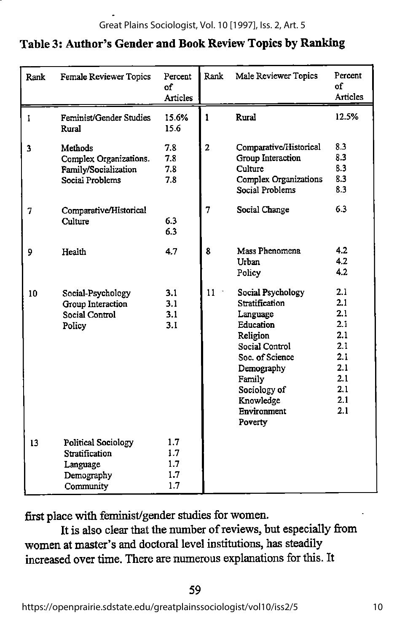# Table 3: Author's Gender and Book Review Topics by Ranking

| Rank         | Female Reviewer Topics                                                              | Percent<br>of<br><b>Articles</b> | Rank           | Male Reviewer Topics                                                                                                                                                                         | Percent<br>of<br><b>Articles</b>                                                 |
|--------------|-------------------------------------------------------------------------------------|----------------------------------|----------------|----------------------------------------------------------------------------------------------------------------------------------------------------------------------------------------------|----------------------------------------------------------------------------------|
| $\mathbf{I}$ | Feminist/Gender Studies<br>Rural                                                    | 15.6%<br>15.6                    | $\mathbf{1}$   | Rural                                                                                                                                                                                        | 12.5%                                                                            |
| 3            | Methods<br>Complex Organizations.<br>Family/Socialization<br>Social Problems        | 7.8<br>7.8<br>7.8<br>7.8         | $\overline{2}$ | Comparative/Historical<br>Group Interaction<br>Culture<br>Complex Organizations<br>Social Problems                                                                                           | 8.3<br>8.3<br>8.3<br>8.3<br>8.3                                                  |
| 7            | Comparative/Historical<br>Culture                                                   | 6.3<br>6.3                       | 7              | Social Change                                                                                                                                                                                | 6.3                                                                              |
| 9            | Health                                                                              | 47                               | 8              | Mass Phenomena<br>Urban<br>Policy                                                                                                                                                            | 4.2<br>4.2<br>4.2                                                                |
| 10           | Social-Psychology<br>Group Interaction<br>Social Control<br>Policy                  | 3.1<br>3.1<br>3.1<br>3.1         | 11             | Social Psychology<br>Stratification<br>Language<br>Education<br>Religion<br>Social Control<br>Soc. of Science<br>Demography<br>Family<br>Sociology of<br>Knowledge<br>Environment<br>Poverty | 2.1<br>2.1<br>2.1<br>2.1<br>2.1<br>2.1<br>2.1<br>2.1<br>2.1<br>2.1<br>2.1<br>2.1 |
| 13           | <b>Political Sociology</b><br>Stratification<br>Language<br>Demography<br>Community | 1.7<br>1.7<br>1.7<br>1.7<br>1.7  |                |                                                                                                                                                                                              |                                                                                  |

first place with feminist/gender studies for women.

It is also clear that the number of reviews, but especially from women at master's and doctoral level institutions, has steadily increased over time. There are numerous explanations for this. It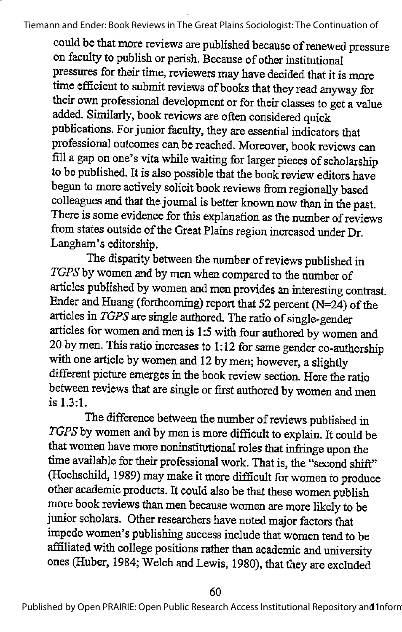could be that more reviews are published because of renewed pressure on faculty to publish or perish. Because of other institutional pressures for their time, reviewers may have decided that it is more time efficient to submit reviews of books that they read anyway for their own professional development or for their classes to get a value added. Similarly, book reviews are often considered quick publications. For junior faculty, they are essential indicators that professional outcomes can be reached. Moreover, book reviews can fill a gap on one's vita while waiting for larger pieces of scholarship to be published. It is also possible that the book review editors have begun to more actively solicit book reviews from regionally based colleagues and that the journal is better known now than in the past. There is some evidence for this explanation as the number of reviews from states outside of the Great Plains region increased under Dr. Langham's editorship.

The disparity between the number of reviews published in TGPS by women and by men when compared to the number of articles published by women and men provides an interesting contrast. Ender and Huang (forthcoming) report that 52 percent (N=24) of the articles in TGPS are single authored. The ratio of single-gender articles for women and men is 1:5 with four authored bywomen and 20 by men. This ratio increases to 1:12 for same gender co-authorship with one article by women and 12 by men; however, a slightly different picture emerges in the book review section. Here the ratio between reviews that are single or first authored by women and men is 1.3:1.

The difference between the number of reviews published in TGPS by women and by men is more difficult to explain. It could be that women have more noninstitutional roles that infringe upon the time available for their professional work. That is, the "second shift" (Hochschild, 1989) may make itmore difficult for women to produce other academic products. It could also be that these women publish more book reviews than men because women are more likely to be junior scholars. Other researchers have noted major factors that impede women's publishing success include that women tend to be affiliated with college positions rather than academic and university ones (Huber, 1984; Welch and Lewis, 1980), that they are excluded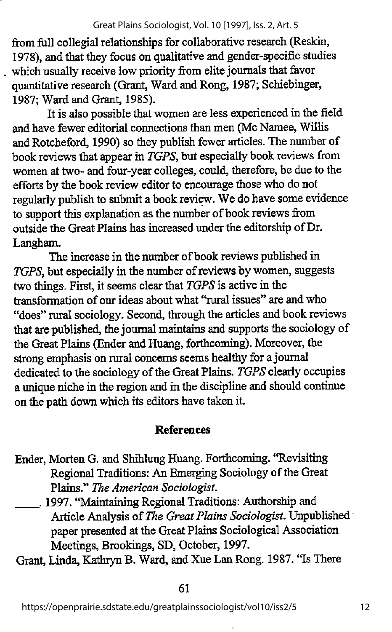from full collegial relationships for collaborative research (Reskin, 1978), and that they focus on qualitative and gender-specific studies which usually receive low priority from elite journals that favor quantitative research (Grant, Ward and Rong, 1987; Schiebinger, 1987; Ward and Grant, 1985).

It is also possible that women are less experiencedin the field and have fewer editorial connections than men (Mc Namee, Willis and Rotcheford, 1990) so they publish fewer articles. The number of book reviews that appear in TGPS, but especially book reviews from women at two- and four-year colleges, could, therefore, be due to the efforts by the book review editor to encourage those who do not regularly publish to submit a book review. We do have some evidence to support this explanation as the number of book reviews from outside the Great Plains has increased under the editorship of Dr. Langham.

The increase in the number of book reviews published in TGPS, but especially in the number of reviews by women, suggests two things. First, it seems clear that  $TGPS$  is active in the transformation of our ideas about what "rural issues" are and who "does" rural sociology. Second, through the articles and book reviews that are published, the journal maintains and supports the sociology of the Great Plains (Ender and Huang, forthcoming). Moreover, the strong emphasis on rural concerns seems healthy for a journal dedicated to the sociology of the Great Plains. TGPS clearly occupies a unique niche in the region and in the discipline and should continue on the path down which its editors have taken it.

# References

- Ender, Morten G. and Shihlung Huang. Forthcoming. 'Revisiting Regional Traditions: An Emerging Sociology of the Great Plains." The American Sociologist.
- . 1997. "Maintaining Regional Traditions: Authorship and Article Analysis of The Great Plains Sociologist. Unpublished paper presented at the Great Plains Sociological Association Meetings, Brookings, SD, October, 1997.

Grant, Linda, Kathryn B. Ward, and Xue Lan Rong. 1987. "Is There